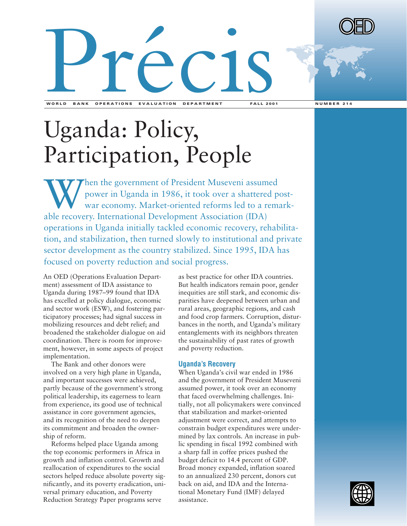

# Uganda: Policy, Participation, People

When the government of President Museveni assumed<br>power in Uganda in 1986, it took over a shattered p<br>war economy. Market-oriented reforms led to a rem power in Uganda in 1986, it took over a shattered postwar economy. Market-oriented reforms led to a remarkable recovery. International Development Association (IDA) operations in Uganda initially tackled economic recovery, rehabilitation, and stabilization, then turned slowly to institutional and private sector development as the country stabilized. Since 1995, IDA has focused on poverty reduction and social progress.

An OED (Operations Evaluation Department) assessment of IDA assistance to Uganda during 1987–99 found that IDA has excelled at policy dialogue, economic and sector work (ESW), and fostering participatory processes; had signal success in mobilizing resources and debt relief; and broadened the stakeholder dialogue on aid coordination. There is room for improvement, however, in some aspects of project implementation.

The Bank and other donors were involved on a very high plane in Uganda, and important successes were achieved, partly because of the government's strong political leadership, its eagerness to learn from experience, its good use of technical assistance in core government agencies, and its recognition of the need to deepen its commitment and broaden the ownership of reform.

Reforms helped place Uganda among the top economic performers in Africa in growth and inflation control. Growth and reallocation of expenditures to the social sectors helped reduce absolute poverty significantly, and its poverty eradication, universal primary education, and Poverty Reduction Strategy Paper programs serve

as best practice for other IDA countries. But health indicators remain poor, gender inequities are still stark, and economic disparities have deepened between urban and rural areas, geographic regions, and cash and food crop farmers. Corruption, disturbances in the north, and Uganda's military entanglements with its neighbors threaten the sustainability of past rates of growth and poverty reduction.

#### **Uganda's Recovery**

When Uganda's civil war ended in 1986 and the government of President Museveni assumed power, it took over an economy that faced overwhelming challenges. Initially, not all policymakers were convinced that stabilization and market-oriented adjustment were correct, and attempts to constrain budget expenditures were undermined by lax controls. An increase in public spending in fiscal 1992 combined with a sharp fall in coffee prices pushed the budget deficit to 14.4 percent of GDP. Broad money expanded, inflation soared to an annualized 230 percent, donors cut back on aid, and IDA and the International Monetary Fund (IMF) delayed assistance.

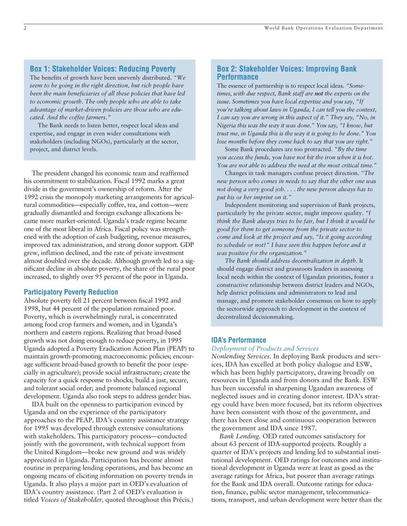# **Box 1: Stakeholder Voices: Reducing Poverty**

The benefits of growth have been unevenly distributed. *"We seem to be going in the right direction, but rich people have been the main beneficiaries of all these policies that have led to economic growth. The only people who are able to take advantage of market-driven policies are those who are educated. And the coffee farmers."*

The Bank needs to listen better, respect local ideas and expertise, and engage in even wider consultations with stakeholders (including NGOs), particularly at the sector, project, and district levels.

The president changed his economic team and reaffirmed his commitment to stabilization. Fiscal 1992 marks a great divide in the government's ownership of reform. After the 1992 crisis the monopoly marketing arrangements for agricultural commodities—especially coffee, tea, and cotton—were gradually dismantled and foreign exchange allocations became more market-oriented. Uganda's trade regime became one of the most liberal in Africa. Fiscal policy was strengthened with the adoption of cash budgeting, revenue measures, improved tax administration, and strong donor support. GDP grew, inflation declined, and the rate of private investment almost doubled over the decade. Although growth led to a significant decline in absolute poverty, the share of the rural poor increased, to slightly over 95 percent of the poor in Uganda.

### **Participatory Poverty Reduction**

Absolute poverty fell 21 percent between fiscal 1992 and 1998, but 44 percent of the population remained poor. Poverty, which is overwhelmingly rural, is concentrated among food crop farmers and women, and in Uganda's northern and eastern regions. Realizing that broad-based growth was not doing enough to reduce poverty, in 1995 Uganda adopted a Poverty Eradication Action Plan (PEAP) to maintain growth-promoting macroeconomic policies; encourage sufficient broad-based growth to benefit the poor (especially in agriculture); provide social infrastructure; create the capacity for a quick response to shocks; build a just, secure, and tolerant social order; and promote balanced regional development. Uganda also took steps to address gender bias.

IDA built on the openness to participation evinced by Uganda and on the experience of the participatory approaches to the PEAP. IDA's country assistance strategy for 1995 was developed through extensive consultations with stakeholders. This participatory process—conducted jointly with the government, with technical support from the United Kingdom—broke new ground and was widely appreciated in Uganda. Participation has become almost routine in preparing lending operations, and has become an ongoing means of eliciting information on poverty trends in Uganda. It also plays a major part in OED's evaluation of IDA's country assistance. (Part 2 of OED's evaluation is titled *Voices of Stakeholder,* quoted throughout this Précis.)

# **Box 2: Stakeholder Voices: Improving Bank Performance**

The essence of partnership is to respect local ideas. *"Sometimes, with due respect, Bank staff are not the experts on the issue. Sometimes you have local expertise and you say, "If you're talking about laws in Uganda, I can tell you the context, I can say you are wrong in this aspect of it." They say, "No, in Nigeria this was the way it was done." You say, "I know, but trust me, in Uganda this is the way it is going to be done." You lose months before they come back to say that you are right."*

Some Bank procedures are too protracted. *"By the time you access the funds, you have not hit the iron when it is hot. You are not able to address the need at the most critical time."* 

Changes in task managers confuse project direction. *"The new person who comes in needs to say that the other one was not doing a very good job. . . . the new person always has to put his or her imprint on it."*

Independent monitoring and supervision of Bank projects, particularly by the private sector, might improve quality. *"I think the Bank always tries to be fair, but I think it would be good for them to get someone from the private sector to come and look at the project and say, "Is it going according to schedule or not?" I have seen this happen before and it was positive for the organization."*

*The Bank should address decentralization in depth.* It should engage district and grassroots leaders in assessing local needs within the context of Ugandan priorities, foster a constructive relationship between district leaders and NGOs, help district politicians and administrators to lead and manage, and promote stakeholder consensus on how to apply the sectorwide approach to development in the context of decentralized decisionmaking.

# **IDA's Performance**

#### *Deployment of Products and Services*

*Nonlending Services.* In deploying Bank products and services, IDA has excelled at both policy dialogue and ESW, which has been highly participatory, drawing broadly on resources in Uganda and from donors and the Bank. ESW has been successful in sharpening Ugandan awareness of neglected issues and in creating donor interest. IDA's strategy could have been more focused, but its reform objectives have been consistent with those of the government, and there has been close and continuous cooperation between the government and IDA since 1987.

*Bank Lending.* OED rated outcomes satisfactory for about 63 percent of IDA-supported projects. Roughly a quarter of IDA's projects and lending led to substantial institutional development. OED ratings for outcomes and institutional development in Uganda were at least as good as the average ratings for Africa, but poorer than average ratings for the Bank and IDA overall. Outcome ratings for education, finance, public sector management, telecommunications, transport, and urban development were better than the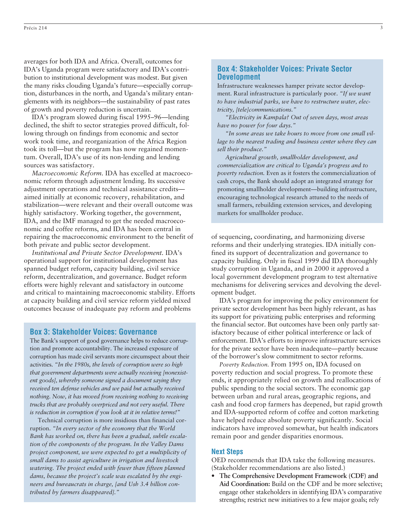averages for both IDA and Africa. Overall, outcomes for IDA's Uganda program were satisfactory and IDA's contribution to institutional development was modest. But given the many risks clouding Uganda's future—especially corruption, disturbances in the north, and Uganda's military entanglements with its neighbors—the sustainability of past rates of growth and poverty reduction is uncertain.

IDA's program slowed during fiscal 1995–96—lending declined, the shift to sector strategies proved difficult, following through on findings from economic and sector work took time, and reorganization of the Africa Region took its toll—but the program has now regained momentum. Overall, IDA's use of its non-lending and lending sources was satisfactory.

*Macroeconomic Reform.* IDA has excelled at macroeconomic reform through adjustment lending. Its successive adjustment operations and technical assistance credits aimed initially at economic recovery, rehabilitation, and stabilization—were relevant and their overall outcome was highly satisfactory. Working together, the government, IDA, and the IMF managed to get the needed macroeconomic and coffee reforms, and IDA has been central in repairing the macroeconomic environment to the benefit of both private and public sector development.

*Institutional and Private Sector Development.* IDA's operational support for institutional development has spanned budget reform, capacity building, civil service reform, decentralization, and governance. Budget reform efforts were highly relevant and satisfactory in outcome and critical to maintaining macroeconomic stability. Efforts at capacity building and civil service reform yielded mixed outcomes because of inadequate pay reform and problems

# **Box 3: Stakeholder Voices: Governance**

The Bank's support of good governance helps to reduce corruption and promote accountability. The increased exposure of corruption has made civil servants more circumspect about their activities. *"In the 1980s, the levels of corruption were so high that government departments were actually receiving [nonexistent goods], whereby someone signed a document saying they received ten defense vehicles and we paid but actually received nothing. Now, it has moved from receiving nothing to receiving trucks that are probably overpriced and not very useful. There is reduction in corruption if you look at it in relative terms!"*

Technical corruption is more insidious than financial corruption. *"In every sector of the economy that the World Bank has worked on, there has been a gradual, subtle escalation of the components of the program. In the Valley Dams project component, we were expected to get a multiplicity of small dams to assist agriculture in irrigation and livestock watering. The project ended with fewer than fifteen planned dams, because the project's scale was escalated by the engineers and bureaucrats in charge, [and Ush 3.4 billion contributed by farmers disappeared]."*

# **Box 4: Stakeholder Voices: Private Sector Development**

Infrastructure weaknesses hamper private sector development. Rural infrastructure is particularly poor. *"If we want to have industrial parks, we have to restructure water, electricity, [tele]communications."*

*"Electricity in Kampala? Out of seven days, most areas have no power for four days."*

*"In some areas we take hours to move from one small village to the nearest trading and business center where they can sell their produce."*

*Agricultural growth, smallholder development, and commercialization are critical to Uganda's progress and to poverty reduction.* Even as it fosters the commercialization of cash crops, the Bank should adopt an integrated strategy for promoting smallholder development—building infrastructure, encouraging technological research attuned to the needs of small farmers, rebuilding extension services, and developing markets for smallholder produce.

of sequencing, coordinating, and harmonizing diverse reforms and their underlying strategies. IDA initially confined its support of decentralization and governance to capacity building. Only in fiscal 1999 did IDA thoroughly study corruption in Uganda, and in 2000 it approved a local government development program to test alternative mechanisms for delivering services and devolving the development budget.

IDA's program for improving the policy environment for private sector development has been highly relevant, as has its support for privatizing public enterprises and reforming the financial sector. But outcomes have been only partly satisfactory because of either political interference or lack of enforcement. IDA's efforts to improve infrastructure services for the private sector have been inadequate—partly because of the borrower's slow commitment to sector reforms.

*Poverty Reduction.* From 1995 on, IDA focused on poverty reduction and social progress. To promote these ends, it appropriately relied on growth and reallocations of public spending to the social sectors. The economic gap between urban and rural areas, geographic regions, and cash and food crop farmers has deepened, but rapid growth and IDA-supported reform of coffee and cotton marketing have helped reduce absolute poverty significantly. Social indicators have improved somewhat, but health indicators remain poor and gender disparities enormous.

#### **Next Steps**

OED recommends that IDA take the following measures. (Stakeholder recommendations are also listed.)

• **The Comprehensive Development Framework (CDF) and Aid Coordination:** Build on the CDF and be more selective; engage other stakeholders in identifying IDA's comparative strengths; restrict new initiatives to a few major goals; rely